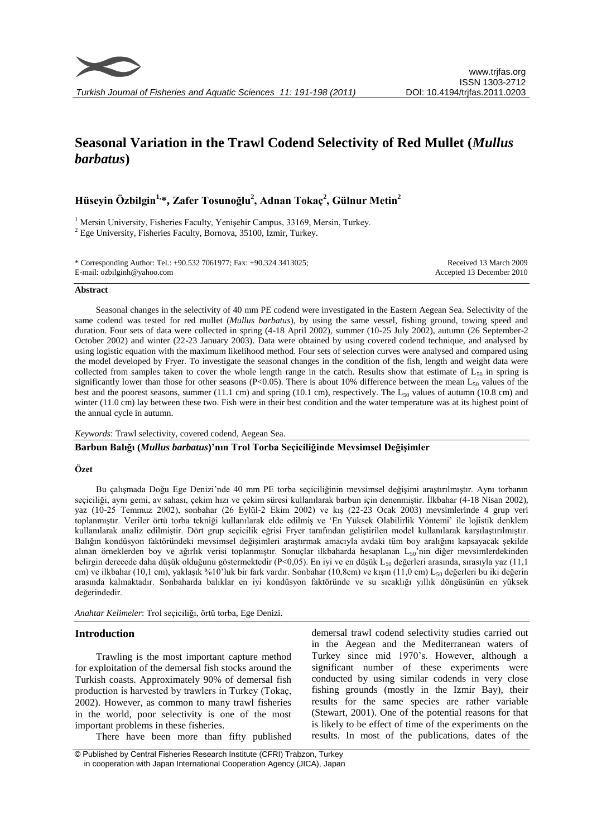

# **Seasonal Variation in the Trawl Codend Selectivity of Red Mullet (***Mullus barbatus***)**

# **Hüseyin Özbilgin1,\*, Zafer Tosunoğlu<sup>2</sup> , Adnan Tokaç<sup>2</sup> , Gülnur Metin<sup>2</sup>**

<sup>1</sup> Mersin University, Fisheries Faculty, Yenişehir Campus, 33169, Mersin, Turkey. <sup>2</sup> Ege University, Fisheries Faculty, Bornova, 35100, Izmir, Turkey.

\* Corresponding Author: Tel.: +90.532 7061977; Fax: +90.324 3413025; E-mail: ozbilginh@yahoo.com

Received 13 March 2009 Accepted 13 December 2010

#### **Abstract**

Seasonal changes in the selectivity of 40 mm PE codend were investigated in the Eastern Aegean Sea. Selectivity of the same codend was tested for red mullet (*Mullus barbatus*), by using the same vessel, fishing ground, towing speed and duration. Four sets of data were collected in spring (4-18 April 2002), summer (10-25 July 2002), autumn (26 September-2 October 2002) and winter (22-23 January 2003). Data were obtained by using covered codend technique, and analysed by using logistic equation with the maximum likelihood method. Four sets of selection curves were analysed and compared using the model developed by Fryer. To investigate the seasonal changes in the condition of the fish, length and weight data were collected from samples taken to cover the whole length range in the catch. Results show that estimate of  $L_{50}$  in spring is significantly lower than those for other seasons (P<0.05). There is about 10% difference between the mean  $L_{50}$  values of the best and the poorest seasons, summer (11.1 cm) and spring (10.1 cm), respectively. The  $L_{50}$  values of autumn (10.8 cm) and winter (11.0 cm) lay between these two. Fish were in their best condition and the water temperature was at its highest point of the annual cycle in autumn.

#### *Keywords*: Trawl selectivity, covered codend, Aegean Sea.

**Barbun Balığı (***Mullus barbatus***)'nın Trol Torba Seçiciliğinde Mevsimsel Değişimler**

#### **Özet**

Bu çalışmada Doğu Ege Denizi'nde 40 mm PE torba seçiciliğinin mevsimsel değişimi araştırılmıştır. Aynı torbanın seçiciliği, aynı gemi, av sahası, çekim hızı ve çekim süresi kullanılarak barbun için denenmiştir. İlkbahar (4-18 Nisan 2002), yaz (10-25 Temmuz 2002), sonbahar (26 Eylül-2 Ekim 2002) ve kış (22-23 Ocak 2003) mevsimlerinde 4 grup veri toplanmıştır. Veriler örtü torba tekniği kullanılarak elde edilmiş ve 'En Yüksek Olabilirlik Yöntemi' ile lojistik denklem kullanılarak analiz edilmiştir. Dört grup seçicilik eğrisi Fryer tarafından geliştirilen model kullanılarak karşılaştırılmıştır. Balığın kondüsyon faktöründeki mevsimsel değişimleri araştırmak amacıyla avdaki tüm boy aralığını kapsayacak şekilde alınan örneklerden boy ve ağırlık verisi toplanmıştır. Sonuçlar ilkbaharda hesaplanan  $L_{50}$ 'nin diğer mevsimlerdekinden belirgin derecede daha düşük olduğunu göstermektedir (P<0,05). En iyi ve en düşük L<sub>50</sub> değerleri arasında, sırasıyla yaz (11,1) cm) ve ilkbahar (10,1 cm), yaklaşık %10'luk bir fark vardır. Sonbahar (10,8cm) ve kışın (11,0 cm) L<sub>50</sub> değerleri bu iki değerin arasında kalmaktadır. Sonbaharda balıklar en iyi kondüsyon faktöründe ve su sıcaklığı yıllık döngüsünün en yüksek değerindedir.

*Anahtar Kelimeler*: Trol seçiciliği, örtü torba, Ege Denizi.

#### **Introduction**

Trawling is the most important capture method for exploitation of the demersal fish stocks around the Turkish coasts. Approximately 90% of demersal fish production is harvested by trawlers in Turkey (Tokaç, 2002). However, as common to many trawl fisheries in the world, poor selectivity is one of the most important problems in these fisheries.

There have been more than fifty published

demersal trawl codend selectivity studies carried out in the Aegean and the Mediterranean waters of Turkey since mid 1970's. However, although a significant number of these experiments were conducted by using similar codends in very close fishing grounds (mostly in the Izmir Bay), their results for the same species are rather variable (Stewart, 2001). One of the potential reasons for that is likely to be effect of time of the experiments on the results. In most of the publications, dates of the

© Published by Central Fisheries Research Institute (CFRI) Trabzon, Turkey in cooperation with Japan International Cooperation Agency (JICA), Japan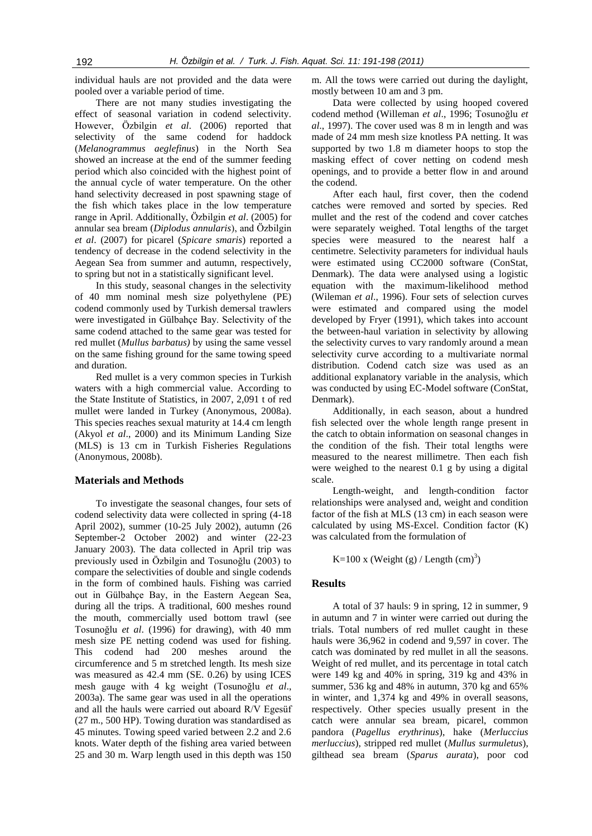individual hauls are not provided and the data were pooled over a variable period of time.

There are not many studies investigating the effect of seasonal variation in codend selectivity. However, Özbilgin *et al*. (2006) reported that selectivity of the same codend for haddock (*Melanogrammus aeglefinus*) in the North Sea showed an increase at the end of the summer feeding period which also coincided with the highest point of the annual cycle of water temperature. On the other hand selectivity decreased in post spawning stage of the fish which takes place in the low temperature range in April. Additionally, Özbilgin *et al*. (2005) for annular sea bream (*Diplodus annularis*), and Özbilgin *et al*. (2007) for picarel (*Spicare smaris*) reported a tendency of decrease in the codend selectivity in the Aegean Sea from summer and autumn, respectively, to spring but not in a statistically significant level.

In this study, seasonal changes in the selectivity of 40 mm nominal mesh size polyethylene (PE) codend commonly used by Turkish demersal trawlers were investigated in Gülbahçe Bay. Selectivity of the same codend attached to the same gear was tested for red mullet (*Mullus barbatus)* by using the same vessel on the same fishing ground for the same towing speed and duration.

Red mullet is a very common species in Turkish waters with a high commercial value. According to the State Institute of Statistics, in 2007, 2,091 t of red mullet were landed in Turkey (Anonymous, 2008a). This species reaches sexual maturity at 14.4 cm length (Akyol *et al*., 2000) and its Minimum Landing Size (MLS) is 13 cm in Turkish Fisheries Regulations (Anonymous, 2008b).

#### **Materials and Methods**

To investigate the seasonal changes, four sets of codend selectivity data were collected in spring (4-18 April 2002), summer (10-25 July 2002), autumn (26 September-2 October 2002) and winter (22-23 January 2003). The data collected in April trip was previously used in Özbilgin and Tosunoğlu (2003) to compare the selectivities of double and single codends in the form of combined hauls. Fishing was carried out in Gülbahçe Bay, in the Eastern Aegean Sea, during all the trips. A traditional, 600 meshes round the mouth, commercially used bottom trawl (see Tosunoğlu *et al*. (1996) for drawing), with 40 mm mesh size PE netting codend was used for fishing. This codend had 200 meshes around the circumference and 5 m stretched length. Its mesh size was measured as 42.4 mm (SE. 0.26) by using ICES mesh gauge with 4 kg weight (Tosunoğlu *et al*., 2003a). The same gear was used in all the operations and all the hauls were carried out aboard R/V Egesüf (27 m., 500 HP). Towing duration was standardised as 45 minutes. Towing speed varied between 2.2 and 2.6 knots. Water depth of the fishing area varied between 25 and 30 m. Warp length used in this depth was 150 m. All the tows were carried out during the daylight, mostly between 10 am and 3 pm.

Data were collected by using hooped covered codend method (Willeman *et al*., 1996; Tosunoğlu *et al*., 1997). The cover used was 8 m in length and was made of 24 mm mesh size knotless PA netting. It was supported by two 1.8 m diameter hoops to stop the masking effect of cover netting on codend mesh openings, and to provide a better flow in and around the codend.

After each haul, first cover, then the codend catches were removed and sorted by species. Red mullet and the rest of the codend and cover catches were separately weighed. Total lengths of the target species were measured to the nearest half a centimetre. Selectivity parameters for individual hauls were estimated using CC2000 software (ConStat, Denmark). The data were analysed using a logistic equation with the maximum-likelihood method (Wileman *et al*., 1996). Four sets of selection curves were estimated and compared using the model developed by Fryer (1991), which takes into account the between-haul variation in selectivity by allowing the selectivity curves to vary randomly around a mean selectivity curve according to a multivariate normal distribution. Codend catch size was used as an additional explanatory variable in the analysis, which was conducted by using EC-Model software (ConStat, Denmark).

Additionally, in each season, about a hundred fish selected over the whole length range present in the catch to obtain information on seasonal changes in the condition of the fish. Their total lengths were measured to the nearest millimetre. Then each fish were weighed to the nearest 0.1 g by using a digital scale.

Length-weight, and length-condition factor relationships were analysed and, weight and condition factor of the fish at MLS (13 cm) in each season were calculated by using MS-Excel. Condition factor (K) was calculated from the formulation of

K=100 x (Weight (g) / Length  $(cm)^3)$ 

# **Results**

A total of 37 hauls: 9 in spring, 12 in summer, 9 in autumn and 7 in winter were carried out during the trials. Total numbers of red mullet caught in these hauls were 36,962 in codend and 9,597 in cover. The catch was dominated by red mullet in all the seasons. Weight of red mullet, and its percentage in total catch were 149 kg and 40% in spring, 319 kg and 43% in summer, 536 kg and 48% in autumn, 370 kg and 65% in winter, and 1,374 kg and 49% in overall seasons, respectively. Other species usually present in the catch were annular sea bream, picarel, common pandora (*Pagellus erythrinus*), hake (*Merluccius merluccius*), stripped red mullet (*Mullus surmuletus*), gilthead sea bream (*Sparus aurata*), poor cod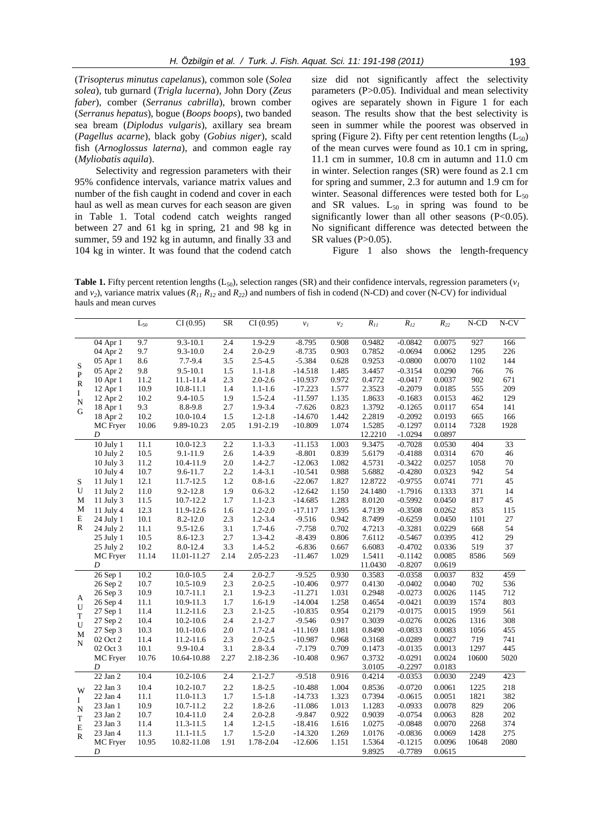(*Trisopterus minutus capelanus*), common sole (*Solea solea*), tub gurnard (*Trigla lucerna*), John Dory (*Zeus faber*), comber (*Serranus cabrilla*), brown comber (*Serranus hepatus*), bogue (*Boops boops*), two banded sea bream (*Diplodus vulgaris*), axillary sea bream (*Pagellus acarne*), black goby (*Gobius niger*), scald fish (*Arnoglossus laterna*), and common eagle ray (*Myliobatis aquila*).

Selectivity and regression parameters with their 95% confidence intervals, variance matrix values and number of the fish caught in codend and cover in each haul as well as mean curves for each season are given in Table 1. Total codend catch weights ranged between 27 and 61 kg in spring, 21 and 98 kg in summer, 59 and 192 kg in autumn, and finally 33 and 104 kg in winter. It was found that the codend catch

size did not significantly affect the selectivity parameters (P>0.05). Individual and mean selectivity ogives are separately shown in Figure 1 for each season. The results show that the best selectivity is seen in summer while the poorest was observed in spring (Figure 2). Fifty per cent retention lengths  $(L_{50})$ of the mean curves were found as 10.1 cm in spring, 11.1 cm in summer, 10.8 cm in autumn and 11.0 cm in winter. Selection ranges (SR) were found as 2.1 cm for spring and summer, 2.3 for autumn and 1.9 cm for winter. Seasonal differences were tested both for  $L_{50}$ and SR values.  $L_{50}$  in spring was found to be significantly lower than all other seasons  $(P<0.05)$ . No significant difference was detected between the SR values  $(P>0.05)$ .

Figure 1 also shows the length-frequency

**Table 1.** Fifty percent retention lengths ( $L_{50}$ ), selection ranges (SR) and their confidence intervals, regression parameters ( $v<sub>1</sub>$ and  $v_2$ ), variance matrix values ( $R_{11}R_{12}$  and  $R_{22}$ ) and numbers of fish in codend (N-CD) and cover (N-CV) for individual hauls and mean curves

|                                                          |                       | $L_{50}$   | CI(0.95)                     | <b>SR</b>  | CI(0.95)               | $v_I$                | $\mathcal{V}_2$ | $R_{II}$         | $\mathcal{R}_{I2}$     | $R_{22}$         | N-CD        | $N$ -CV    |
|----------------------------------------------------------|-----------------------|------------|------------------------------|------------|------------------------|----------------------|-----------------|------------------|------------------------|------------------|-------------|------------|
|                                                          |                       |            |                              |            |                        |                      |                 |                  |                        |                  |             |            |
| S<br>$\mathbf{P}$<br>$\mathbb{R}$<br>I<br>${\bf N}$<br>G | 04 Apr 1<br>04 Apr 2  | 9.7<br>9.7 | $9.3 - 10.1$<br>$9.3 - 10.0$ | 2.4<br>2.4 | 1.9-2.9<br>$2.0 - 2.9$ | $-8.795$<br>$-8.735$ | 0.908<br>0.903  | 0.9482<br>0.7852 | $-0.0842$<br>$-0.0694$ | 0.0075<br>0.0062 | 927<br>1295 | 166<br>226 |
|                                                          | 05 Apr 1              | 8.6        | $7.7 - 9.4$                  | 3.5        | $2.5 - 4.5$            | $-5.384$             | 0.628           | 0.9253           | $-0.0800$              | 0.0070           | 1102        | 144        |
|                                                          |                       | 9.8        | $9.5 - 10.1$                 | 1.5        | $1.1 - 1.8$            | $-14.518$            | 1.485           | 3.4457           | $-0.3154$              | 0.0290           | 766         | 76         |
|                                                          | 05 Apr 2<br>10 Apr 1  | 11.2       | $11.1 - 11.4$                | 2.3        | $2.0 - 2.6$            | $-10.937$            | 0.972           | 0.4772           | $-0.0417$              | 0.0037           | 902         | 671        |
|                                                          | 12 Apr 1              | 10.9       | 10.8-11.1                    | 1.4        | $1.1 - 1.6$            | $-17.223$            | 1.577           | 2.3523           | $-0.2079$              | 0.0185           | 555         | 209        |
|                                                          | 12 Apr 2              | 10.2       | 9.4-10.5                     | 1.9        | $1.5 - 2.4$            | $-11.597$            | 1.135           | 1.8633           | $-0.1683$              | 0.0153           | 462         | 129        |
|                                                          | 18 Apr 1              | 9.3        | 8.8-9.8                      | 2.7        | 1.9-3.4                | $-7.626$             | 0.823           | 1.3792           | $-0.1265$              | 0.0117           | 654         | 141        |
|                                                          | 18 Apr 2              | 10.2       | 10.0-10.4                    | 1.5        | $1.2 - 1.8$            | $-14.670$            | 1.442           | 2.2819           | $-0.2092$              | 0.0193           | 665         | 166        |
|                                                          | <b>MC</b> Fryer       | 10.06      | 9.89-10.23                   | 2.05       | 1.91-2.19              | $-10.809$            | 1.074           | 1.5285           | $-0.1297$              | 0.0114           | 7328        | 1928       |
|                                                          | D                     |            |                              |            |                        |                      |                 | 12.2210          | $-1.0294$              | 0.0897           |             |            |
|                                                          | $10$ July 1           | 11.1       | 10.0-12.3                    | 2.2        | $1.1 - 3.3$            | $-11.153$            | 1.003           | 9.3475           | $-0.7028$              | 0.0530           | 404         | 33         |
| ${\bf S}$<br>U<br>M                                      | 10 July 2             | 10.5       | 9.1-11.9                     | 2.6        | 1.4-3.9                | $-8.801$             | 0.839           | 5.6179           | $-0.4188$              | 0.0314           | 670         | 46         |
|                                                          | 10 July 3             | 11.2       | 10.4-11.9                    | $2.0\,$    | $1.4 - 2.7$            | $-12.063$            | 1.082           | 4.5731           | $-0.3422$              | 0.0257           | 1058        | $70\,$     |
|                                                          | 10 July 4             | 10.7       | 9.6-11.7                     | 2.2        | $1.4 - 3.1$            | $-10.541$            | 0.988           | 5.6882           | $-0.4280$              | 0.0323           | 942         | 54         |
|                                                          | $11$ July $1$         | 12.1       | 11.7-12.5                    | 1.2        | $0.8 - 1.6$            | $-22.067$            | 1.827           | 12.8722          | $-0.9755$              | 0.0741           | 771         | 45         |
|                                                          | 11 July 2             | 11.0       | $9.2 - 12.8$                 | 1.9        | $0.6 - 3.2$            | $-12.642$            | 1.150           | 24.1480          | $-1.7916$              | 0.1333           | 371         | 14         |
|                                                          | 11 July 3             | 11.5       | 10.7-12.2                    | 1.7        | $1.1 - 2.3$            | $-14.685$            | 1.283           | 8.0120           | $-0.5992$              | 0.0450           | 817         | 45         |
| $\mathbf M$                                              | 11 July 4             | 12.3       | 11.9-12.6                    | 1.6        | $1.2 - 2.0$            | $-17.117$            | 1.395           | 4.7139           | $-0.3508$              | 0.0262           | 853         | 115        |
| E<br>$\mathbb{R}$                                        | 24 July 1             | 10.1       | $8.2 - 12.0$                 | 2.3        | $1.2 - 3.4$            | $-9.516$             | 0.942           | 8.7499           | $-0.6259$              | 0.0450           | 1101        | 27         |
|                                                          | 24 July 2             | 11.1       | $9.5 - 12.6$                 | 3.1        | 1.7-4.6                | $-7.758$             | 0.702           | 4.7213           | $-0.3281$              | 0.0229           | 668         | 54         |
|                                                          | $25$ July 1           | 10.5       | 8.6-12.3                     | 2.7        | $1.3 - 4.2$            | $-8.439$             | 0.806           | 7.6112           | $-0.5467$              | 0.0395           | 412         | 29         |
|                                                          | 25 July 2             | 10.2       | 8.0-12.4                     | 3.3        | $1.4 - 5.2$            | $-6.836$             | 0.667           | 6.6083           | $-0.4702$              | 0.0336           | 519         | 37         |
|                                                          | MC Fryer              | 11.14      | 11.01-11.27                  | 2.14       | 2.05-2.23              | $-11.467$            | 1.029           | 1.5411           | $-0.1142$              | 0.0085           | 8586        | 569        |
|                                                          | D                     |            |                              |            |                        |                      |                 | 11.0430          | $-0.8207$              | 0.0619           |             |            |
|                                                          | $\overline{26}$ Sep 1 | 10.2       | $10.0 - 10.5$                | 2.4        | $2.0 - 2.7$            | $-9.525$             | 0.930           | 0.3583           | $-0.0358$              | 0.0037           | 832         | 459        |
|                                                          | 26 Sep 2              | 10.7       | 10.5-10.9                    | 2.3        | $2.0 - 2.5$            | $-10.406$            | 0.977           | 0.4130           | $-0.0402$              | 0.0040           | 702         | 536        |
| A<br>U<br>T<br>U<br>M<br>${\bf N}$                       | 26 Sep 3              | 10.9       | 10.7-11.1                    | 2.1        | 1.9-2.3                | $-11.271$            | 1.031           | 0.2948           | $-0.0273$              | 0.0026           | 1145        | 712        |
|                                                          | 26 Sep 4              | 11.1       | 10.9-11.3                    | 1.7        | $1.6 - 1.9$            | $-14.004$            | 1.258           | 0.4654           | $-0.0421$              | 0.0039           | 1574        | 803        |
|                                                          | 27 Sep 1              | 11.4       | 11.2-11.6                    | 2.3        | $2.1 - 2.5$            | $-10.835$            | 0.954           | 0.2179           | $-0.0175$              | 0.0015           | 1959        | 561        |
|                                                          | 27 Sep 2              | 10.4       | 10.2-10.6                    | 2.4        | $2.1 - 2.7$            | $-9.546$             | 0.917           | 0.3039           | $-0.0276$              | 0.0026           | 1316        | 308        |
|                                                          | 27 Sep 3              | 10.3       | $10.1 - 10.6$                | 2.0        | $1.7 - 2.4$            | $-11.169$            | 1.081           | 0.8490           | $-0.0833$              | 0.0083           | 1056        | 455        |
|                                                          | 02 Oct 2              | 11.4       | 11.2-11.6                    | 2.3        | $2.0 - 2.5$            | $-10.987$            | 0.968           | 0.3168           | $-0.0289$              | 0.0027           | 719         | 741        |
|                                                          | 02 Oct 3              | 10.1       | 9.9-10.4                     | 3.1        | $2.8 - 3.4$            | $-7.179$             | 0.709           | 0.1473           | $-0.0135$              | 0.0013           | 1297        | 445        |
|                                                          | MC Fryer              | 10.76      | 10.64-10.88                  | 2.27       | 2.18-2.36              | $-10.408$            | 0.967           | 0.3732           | $-0.0291$              | 0.0024           | 10600       | 5020       |
|                                                          | D                     |            |                              |            |                        |                      |                 | 3.0105           | $-0.2297$              | 0.0183           |             |            |
|                                                          | 22 Jan 2              | 10.4       | $10.2 - 10.6$                | 2.4        | $2.1 - 2.7$            | $-9.518$             | 0.916           | 0.4214           | $-0.0353$              | 0.0030           | 2249        | 423        |
| W<br>I<br>${\bf N}$<br>T<br>$\mathbf E$<br>$\mathbb{R}$  | 22 Jan 3              | 10.4       | 10.2-10.7                    | 2.2        | $1.8 - 2.5$            | $-10.488$            | 1.004           | 0.8536           | $-0.0720$              | 0.0061           | 1225        | 218        |
|                                                          | 22 Jan 4              | 11.1       | 11.0-11.3                    | 1.7        | $1.5 - 1.8$            | $-14.733$            | 1.323           | 0.7394           | $-0.0615$              | 0.0051           | 1821        | 382        |
|                                                          | 23 Jan 1              | 10.9       | 10.7-11.2                    | 2.2        | $1.8 - 2.6$            | $-11.086$            | 1.013           | 1.1283           | $-0.0933$              | 0.0078           | 829         | 206        |
|                                                          | 23 Jan 2              | 10.7       | 10.4-11.0                    | 2.4        | $2.0 - 2.8$            | $-9.847$             | 0.922           | 0.9039           | $-0.0754$              | 0.0063           | 828         | 202        |
|                                                          | 23 Jan 3              | 11.4       | 11.3-11.5                    | 1.4        | $1.2 - 1.5$            | $-18.416$            | 1.616           | 1.0275           | $-0.0848$              | 0.0070           | 2268        | 374        |
|                                                          | 23 Jan 4              | 11.3       | 11.1-11.5                    | 1.7        | $1.5 - 2.0$            | $-14.320$            | 1.269           | 1.0176           | $-0.0836$              | 0.0069           | 1428        | 275        |
|                                                          | MC Fryer              | 10.95      | 10.82-11.08                  | 1.91       | 1.78-2.04              | $-12.606$            | 1.151           | 1.5364           | $-0.1215$              | 0.0096           | 10648       | 2080       |
|                                                          | $\boldsymbol{D}$      |            |                              |            |                        |                      |                 | 9.8925           | $-0.7789$              | 0.0615           |             |            |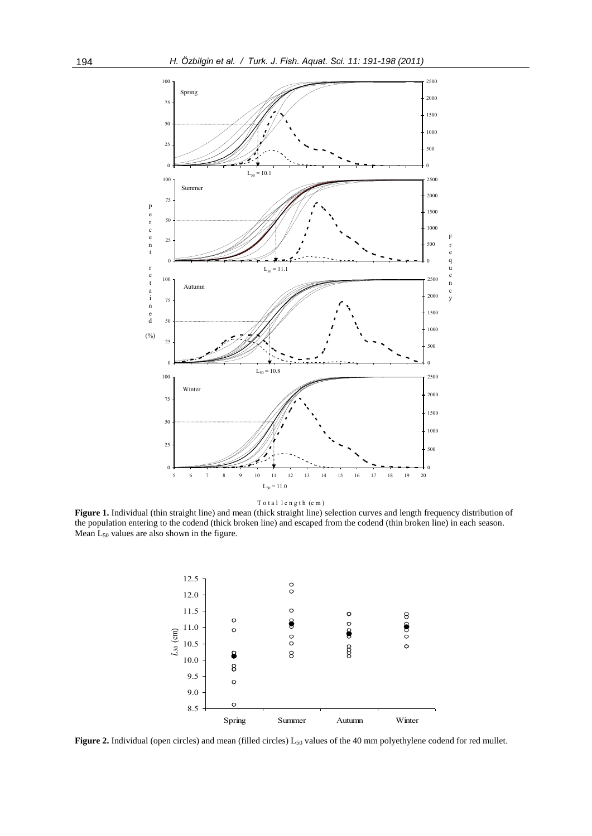

**Figure 1.** Individual (thin straight line) and mean (thick straight line) selection curves and length frequency distribution of the population entering to the codend (thick broken line) and escaped from the codend (thin broken line) in each season. Mean  $L_{50}$  values are also shown in the figure.



**Figure 2.** Individual (open circles) and mean (filled circles) L<sub>50</sub> values of the 40 mm polyethylene codend for red mullet.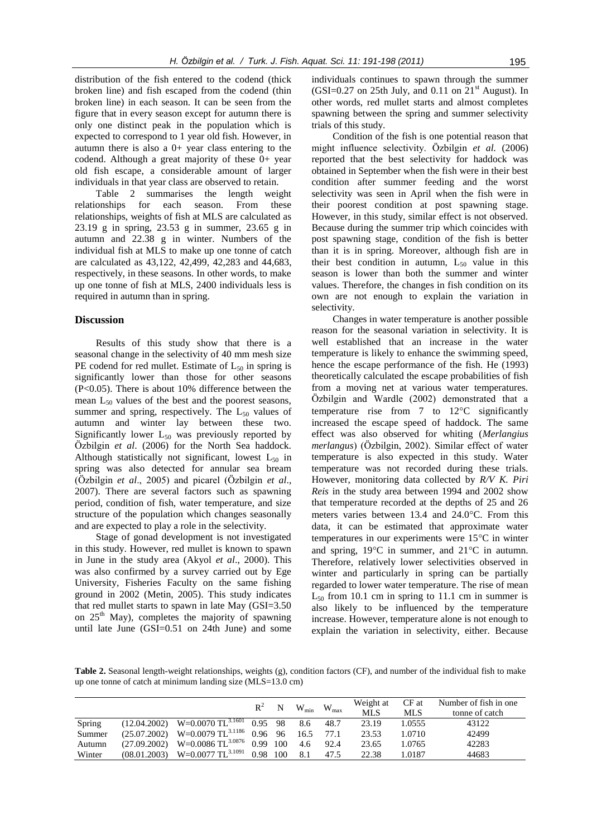distribution of the fish entered to the codend (thick broken line) and fish escaped from the codend (thin broken line) in each season. It can be seen from the figure that in every season except for autumn there is only one distinct peak in the population which is expected to correspond to 1 year old fish. However, in autumn there is also a 0+ year class entering to the codend. Although a great majority of these 0+ year old fish escape, a considerable amount of larger individuals in that year class are observed to retain.

Table 2 summarises the length weight relationships for each season. From these relationships, weights of fish at MLS are calculated as 23.19 g in spring, 23.53 g in summer, 23.65 g in autumn and 22.38 g in winter. Numbers of the individual fish at MLS to make up one tonne of catch are calculated as 43,122, 42,499, 42,283 and 44,683, respectively, in these seasons. In other words, to make up one tonne of fish at MLS, 2400 individuals less is required in autumn than in spring.

## **Discussion**

Results of this study show that there is a seasonal change in the selectivity of 40 mm mesh size PE codend for red mullet. Estimate of  $L_{50}$  in spring is significantly lower than those for other seasons (P<0.05). There is about 10% difference between the mean  $L_{50}$  values of the best and the poorest seasons, summer and spring, respectively. The  $L_{50}$  values of autumn and winter lay between these two. Significantly lower  $L_{50}$  was previously reported by Özbilgin *et al*. (2006) for the North Sea haddock. Although statistically not significant, lowest  $L_{50}$  in spring was also detected for annular sea bream (Özbilgin *et al*., 2005) and picarel (Özbilgin *et al*., 2007). There are several factors such as spawning period, condition of fish, water temperature, and size structure of the population which changes seasonally and are expected to play a role in the selectivity.

Stage of gonad development is not investigated in this study. However, red mullet is known to spawn in June in the study area (Akyol *et al*., 2000). This was also confirmed by a survey carried out by Ege University, Fisheries Faculty on the same fishing ground in 2002 (Metin, 2005). This study indicates that red mullet starts to spawn in late May (GSI=3.50 on  $25<sup>th</sup>$  May), completes the majority of spawning until late June (GSI=0.51 on 24th June) and some

individuals continues to spawn through the summer  $(GSI=0.27$  on 25th July, and 0.11 on 21<sup>st</sup> August). In other words, red mullet starts and almost completes spawning between the spring and summer selectivity trials of this study.

Condition of the fish is one potential reason that might influence selectivity. Özbilgin *et al.* (2006) reported that the best selectivity for haddock was obtained in September when the fish were in their best condition after summer feeding and the worst selectivity was seen in April when the fish were in their poorest condition at post spawning stage. However, in this study, similar effect is not observed. Because during the summer trip which coincides with post spawning stage, condition of the fish is better than it is in spring. Moreover, although fish are in their best condition in autumn,  $L_{50}$  value in this season is lower than both the summer and winter values. Therefore, the changes in fish condition on its own are not enough to explain the variation in selectivity.

Changes in water temperature is another possible reason for the seasonal variation in selectivity. It is well established that an increase in the water temperature is likely to enhance the swimming speed, hence the escape performance of the fish. He (1993) theoretically calculated the escape probabilities of fish from a moving net at various water temperatures. Özbilgin and Wardle (2002) demonstrated that a temperature rise from  $7$  to  $12^{\circ}$ C significantly increased the escape speed of haddock. The same effect was also observed for whiting (*Merlangius merlangus*) (Özbilgin, 2002). Similar effect of water temperature is also expected in this study. Water temperature was not recorded during these trials. However, monitoring data collected by *R/V K. Piri Reis* in the study area between 1994 and 2002 show that temperature recorded at the depths of 25 and 26 meters varies between  $13.4$  and  $24.0^{\circ}$ C. From this data, it can be estimated that approximate water temperatures in our experiments were  $15^{\circ}$ C in winter and spring,  $19^{\circ}$ C in summer, and  $21^{\circ}$ C in autumn. Therefore, relatively lower selectivities observed in winter and particularly in spring can be partially regarded to lower water temperature. The rise of mean  $L_{50}$  from 10.1 cm in spring to 11.1 cm in summer is also likely to be influenced by the temperature increase. However, temperature alone is not enough to explain the variation in selectivity, either. Because

**Table 2.** Seasonal length-weight relationships, weights (g), condition factors (CF), and number of the individual fish to make up one tonne of catch at minimum landing size (MLS=13.0 cm)

|        |              |                                                   | $\mathbb{R}^2$ | $\mathbf N$ | $W_{min}$ | $W_{max}$ | Weight at<br><b>MLS</b> | CF at<br><b>MLS</b> | Number of fish in one<br>tonne of catch |
|--------|--------------|---------------------------------------------------|----------------|-------------|-----------|-----------|-------------------------|---------------------|-----------------------------------------|
| Spring |              | $(12.04.2002)$ W=0.0070 TL <sup>3.1601</sup>      | 0.95 98        |             | 8.6       | 48.7      | 23.19                   | 1.0555              | 43122                                   |
| Summer |              | $(25.07.2002)$ W=0.0079 TL <sup>3.1186</sup> 0.96 |                | 96          | 16.5      |           | 23.53                   | 1.0710              | 42499                                   |
| Autumn | (27.09.2002) | $W=0.0086$ TL <sup>3.0876</sup>                   | 0.99           | 100         | 4.6       | 92.4      | 23.65                   | 1.0765              | 42283                                   |
| Winter | (08.01.2003) | $W=0.0077$ $TL^{3.1091}$                          | 0.98           | 100         | 8.1       | 47.5      | 22.38                   | 1.0187              | 44683                                   |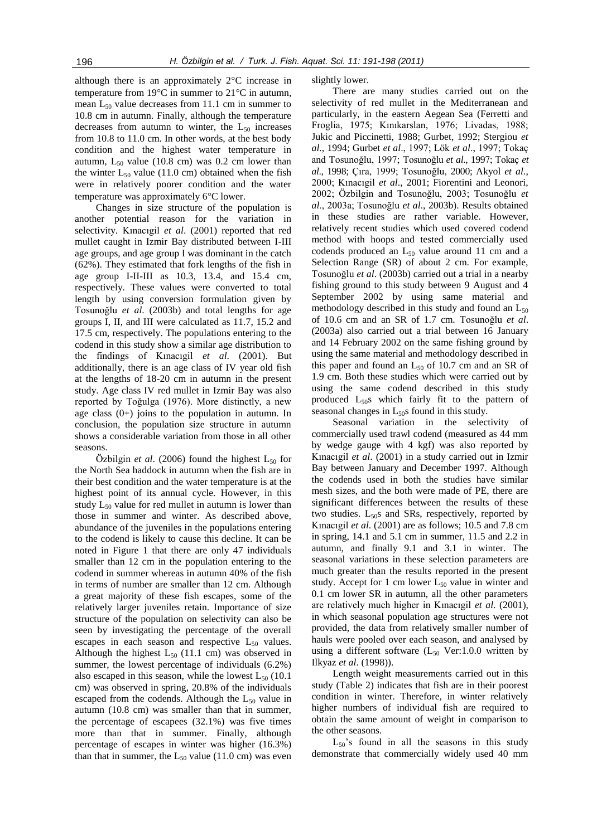although there is an approximately  $2^{\circ}$ C increase in temperature from 19 $^{\circ}$ C in summer to 21 $^{\circ}$ C in autumn, mean  $L_{50}$  value decreases from 11.1 cm in summer to 10.8 cm in autumn. Finally, although the temperature decreases from autumn to winter, the  $L_{50}$  increases from 10.8 to 11.0 cm. In other words, at the best body condition and the highest water temperature in autumn,  $L_{50}$  value (10.8 cm) was 0.2 cm lower than the winter  $L_{50}$  value (11.0 cm) obtained when the fish were in relatively poorer condition and the water temperature was approximately 6°C lower.

Changes in size structure of the population is another potential reason for the variation in selectivity. Kınacıgil *et al*. (2001) reported that red mullet caught in Izmir Bay distributed between I-III age groups, and age group I was dominant in the catch (62%). They estimated that fork lengths of the fish in age group I-II-III as 10.3, 13.4, and 15.4 cm, respectively. These values were converted to total length by using conversion formulation given by Tosunoğlu *et al*. (2003b) and total lengths for age groups I, II, and III were calculated as 11.7, 15.2 and 17.5 cm, respectively. The populations entering to the codend in this study show a similar age distribution to the findings of Kınacıgil *et al*. (2001). But additionally, there is an age class of IV year old fish at the lengths of 18-20 cm in autumn in the present study. Age class IV red mullet in Izmir Bay was also reported by Toğulga (1976). More distinctly, a new age class  $(0+)$  joins to the population in autumn. In conclusion, the population size structure in autumn shows a considerable variation from those in all other seasons.

Özbilgin *et al.* (2006) found the highest  $L_{50}$  for the North Sea haddock in autumn when the fish are in their best condition and the water temperature is at the highest point of its annual cycle. However, in this study  $L_{50}$  value for red mullet in autumn is lower than those in summer and winter. As described above, abundance of the juveniles in the populations entering to the codend is likely to cause this decline. It can be noted in Figure 1 that there are only 47 individuals smaller than 12 cm in the population entering to the codend in summer whereas in autumn 40% of the fish in terms of number are smaller than 12 cm. Although a great majority of these fish escapes, some of the relatively larger juveniles retain. Importance of size structure of the population on selectivity can also be seen by investigating the percentage of the overall escapes in each season and respective  $L_{50}$  values. Although the highest  $L_{50}$  (11.1 cm) was observed in summer, the lowest percentage of individuals (6.2%) also escaped in this season, while the lowest  $L_{50}$  (10.1) cm) was observed in spring, 20.8% of the individuals escaped from the codends. Although the  $L_{50}$  value in autumn (10.8 cm) was smaller than that in summer, the percentage of escapees (32.1%) was five times more than that in summer. Finally, although percentage of escapes in winter was higher (16.3%) than that in summer, the  $L_{50}$  value (11.0 cm) was even slightly lower.

There are many studies carried out on the selectivity of red mullet in the Mediterranean and particularly, in the eastern Aegean Sea (Ferretti and Froglia, 1975; Kınıkarslan, 1976; Livadas, 1988; Jukic and Piccinetti, 1988; Gurbet, 1992; Stergiou *et al*., 1994; Gurbet *et al*., 1997; Lök *et al*., 1997; Tokaç and Tosunoğlu, 1997; Tosunoğlu *et al*., 1997; Tokaç *et al*., 1998; Çıra, 1999; Tosunoğlu, 2000; Akyol *et al*., 2000; Kınacıgil *et al*., 2001; Fiorentini and Leonori, 2002; Özbilgin and Tosunoğlu, 2003; Tosunoğlu *et al*., 2003a; Tosunoğlu *et al*., 2003b). Results obtained in these studies are rather variable. However, relatively recent studies which used covered codend method with hoops and tested commercially used codends produced an  $L_{50}$  value around 11 cm and a Selection Range (SR) of about 2 cm. For example, Tosunoğlu *et al*. (2003b) carried out a trial in a nearby fishing ground to this study between 9 August and 4 September 2002 by using same material and methodology described in this study and found an  $L_{50}$ of 10.6 cm and an SR of 1.7 cm. Tosunoğlu *et al*. (2003a) also carried out a trial between 16 January and 14 February 2002 on the same fishing ground by using the same material and methodology described in this paper and found an  $L_{50}$  of 10.7 cm and an SR of 1.9 cm. Both these studies which were carried out by using the same codend described in this study produced L<sub>50</sub>s which fairly fit to the pattern of seasonal changes in  $L_{50}$ s found in this study.

Seasonal variation in the selectivity of commercially used trawl codend (measured as 44 mm by wedge gauge with 4 kgf) was also reported by Kınacıgil *et al*. (2001) in a study carried out in Izmir Bay between January and December 1997. Although the codends used in both the studies have similar mesh sizes, and the both were made of PE, there are significant differences between the results of these two studies.  $L_{50}$ s and SRs, respectively, reported by Kınacıgil *et al*. (2001) are as follows; 10.5 and 7.8 cm in spring, 14.1 and 5.1 cm in summer, 11.5 and 2.2 in autumn, and finally 9.1 and 3.1 in winter. The seasonal variations in these selection parameters are much greater than the results reported in the present study. Accept for 1 cm lower  $L_{50}$  value in winter and 0.1 cm lower SR in autumn, all the other parameters are relatively much higher in Kınacıgil *et al*. (2001), in which seasonal population age structures were not provided, the data from relatively smaller number of hauls were pooled over each season, and analysed by using a different software  $(L_{50}$  Ver:1.0.0 written by Ilkyaz *et al*. (1998)).

Length weight measurements carried out in this study (Table 2) indicates that fish are in their poorest condition in winter. Therefore, in winter relatively higher numbers of individual fish are required to obtain the same amount of weight in comparison to the other seasons.

 $L_{50}$ 's found in all the seasons in this study demonstrate that commercially widely used 40 mm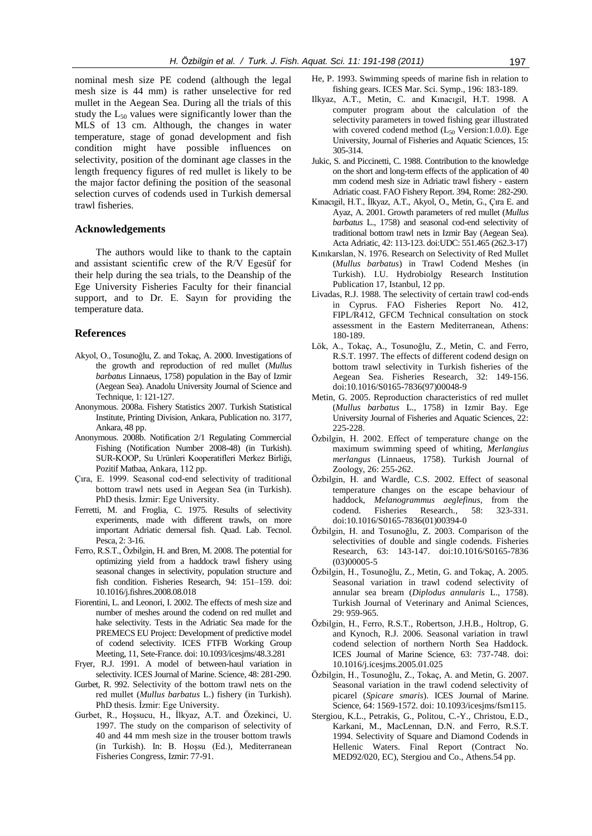nominal mesh size PE codend (although the legal mesh size is 44 mm) is rather unselective for red mullet in the Aegean Sea. During all the trials of this study the  $L_{50}$  values were significantly lower than the MLS of 13 cm. Although, the changes in water temperature, stage of gonad development and fish condition might have possible influences on selectivity, position of the dominant age classes in the length frequency figures of red mullet is likely to be the major factor defining the position of the seasonal selection curves of codends used in Turkish demersal trawl fisheries.

# **Acknowledgements**

The authors would like to thank to the captain and assistant scientific crew of the R/V Egesüf for their help during the sea trials, to the Deanship of the Ege University Fisheries Faculty for their financial support, and to Dr. E. Sayın for providing the temperature data.

#### **References**

- Akyol, O., Tosunoğlu, Z. and Tokaç, A. 2000. Investigations of the growth and reproduction of red mullet (*Mullus barbatus* Linnaeus, 1758) population in the Bay of Izmir (Aegean Sea). Anadolu University Journal of Science and Technique, 1: 121-127.
- Anonymous. 2008a. Fishery Statistics 2007. Turkish Statistical Institute, Printing Division, Ankara, Publication no. 3177, Ankara, 48 pp.
- Anonymous. 2008b. Notification 2/1 Regulating Commercial Fishing (Notification Number 2008-48) (in Turkish). SUR-KOOP, Su Urünleri Kooperatifleri Merkez Birliği, Pozitif Matbaa, Ankara, 112 pp.
- Çıra, E. 1999. Seasonal cod-end selectivity of traditional bottom trawl nets used in Aegean Sea (in Turkish). PhD thesis. İzmir: Ege University.
- Ferretti, M. and Froglia, C. 1975. Results of selectivity experiments, made with different trawls, on more important Adriatic demersal fish. Quad. Lab. Tecnol. Pesca, 2: 3-16.
- Ferro, R.S.T., Özbilgin, H. and Bren, M. 2008. The potential for optimizing yield from a haddock trawl fishery using seasonal changes in selectivity, population structure and fish condition. Fisheries Research, 94: 151–159. doi: 10.1016/j.fishres.2008.08.018
- Fiorentini, L. and Leonori, I. 2002. The effects of mesh size and number of meshes around the codend on red mullet and hake selectivity. Tests in the Adriatic Sea made for the PREMECS EU Project: Development of predictive model of codend selectivity. ICES FTFB Working Group Meeting, 11, Sete-France. doi: 10.1093/icesjms/48.3.281
- Fryer, R.J. 1991. A model of between-haul variation in selectivity. ICES Journal of Marine. Science, 48: 281-290.
- Gurbet, R. 992. Selectivity of the bottom trawl nets on the red mullet (*Mullus barbatus* L.) fishery (in Turkish). PhD thesis. İzmir: Ege University.
- Gurbet, R., Hoşsucu, H., İlkyaz, A.T. and Özekinci, U. 1997. The study on the comparison of selectivity of 40 and 44 mm mesh size in the trouser bottom trawls (in Turkish). In: B. Hoşsu (Ed.), Mediterranean Fisheries Congress, Izmir: 77-91.
- He, P. 1993. Swimming speeds of marine fish in relation to fishing gears. ICES Mar. Sci. Symp., 196: 183-189.
- Ilkyaz, A.T., Metin, C. and Kınacıgil, H.T. 1998. A computer program about the calculation of the selectivity parameters in towed fishing gear illustrated with covered codend method  $(L_{50}$  Version:1.0.0). Ege University, Journal of Fisheries and Aquatic Sciences, 15: 305-314.
- Jukic, S. and Piccinetti, C. 1988. Contribution to the knowledge on the short and long-term effects of the application of 40 mm codend mesh size in Adriatic trawl fishery - eastern Adriatic coast. FAO Fishery Report. 394, Rome: 282-290.
- Kınacıgil, H.T., İlkyaz, A.T., Akyol, O., Metin, G., Çıra E. and Ayaz, A. 2001. Growth parameters of red mullet (*Mullus barbatus* L., 1758) and seasonal cod-end selectivity of traditional bottom trawl nets in Izmir Bay (Aegean Sea). Acta Adriatic, 42: 113-123. doi:UDC: 551.465 (262.3-17)
- Kınıkarslan, N. 1976. Research on Selectivity of Red Mullet (*Mullus barbatus*) in Trawl Codend Meshes (in Turkish). I.U. Hydrobiolgy Research Institution Publication 17, Istanbul, 12 pp.
- Livadas, R.J. 1988. The selectivity of certain trawl cod-ends in Cyprus. FAO Fisheries Report No. 412, FIPL/R412, GFCM Technical consultation on stock assessment in the Eastern Mediterranean, Athens: 180-189.
- Lök, A., Tokaç, A., Tosunoğlu, Z., Metin, C. and Ferro, R.S.T. 1997. The effects of different codend design on bottom trawl selectivity in Turkish fisheries of the Aegean Sea. Fisheries Research, 32: 149-156. doi:10.1016/S0165-7836(97)00048-9
- Metin, G. 2005. Reproduction characteristics of red mullet (*Mullus barbatus* L., 1758) in Izmir Bay. Ege University Journal of Fisheries and Aquatic Sciences, 22: 225-228.
- Özbilgin, H. 2002. Effect of temperature change on the maximum swimming speed of whiting, *Merlangius merlangus* (Linnaeus, 1758). Turkish Journal of Zoology, 26: 255-262.
- Özbilgin, H. and Wardle, C.S. 2002. Effect of seasonal temperature changes on the escape behaviour of haddock, *Melanogrammus aeglefinus*, from the codend. Fisheries Research*.,* 58: 323-331. doi:10.1016/S0165-7836(01)00394-0
- Özbilgin, H. and Tosunoğlu, Z. 2003. Comparison of the selectivities of double and single codends. Fisheries Research, 63: 143-147. doi:10.1016/S0165-7836 (03)00005-5
- Özbilgin, H., Tosunoğlu, Z., Metin, G. and Tokaç, A. 2005. Seasonal variation in trawl codend selectivity of annular sea bream (*Diplodus annularis* L., 1758). Turkish Journal of Veterinary and Animal Sciences, 29: 959-965.
- Özbilgin, H., Ferro, R.S.T., Robertson, J.H.B., Holtrop, G. and Kynoch, R.J. 2006. Seasonal variation in trawl codend selection of northern North Sea Haddock. ICES Journal of Marine Science, 63: 737-748. doi: 10.1016/j.icesjms.2005.01.025
- Özbilgin, H., Tosunoğlu, Z., Tokaç, A. and Metin, G. 2007. Seasonal variation in the trawl codend selectivity of picarel (*Spicare smaris*). ICES Journal of Marine. Science, 64: 1569-1572. doi: 10.1093/icesjms/fsm115.
- Stergiou, K.L., Petrakis, G., Politou, C.-Y., Christou, E.D., Karkani, M., MacLennan, D.N. and Ferro, R.S.T. 1994. Selectivity of Square and Diamond Codends in Hellenic Waters. Final Report (Contract No. MED92/020, EC), Stergiou and Co., Athens.54 pp.